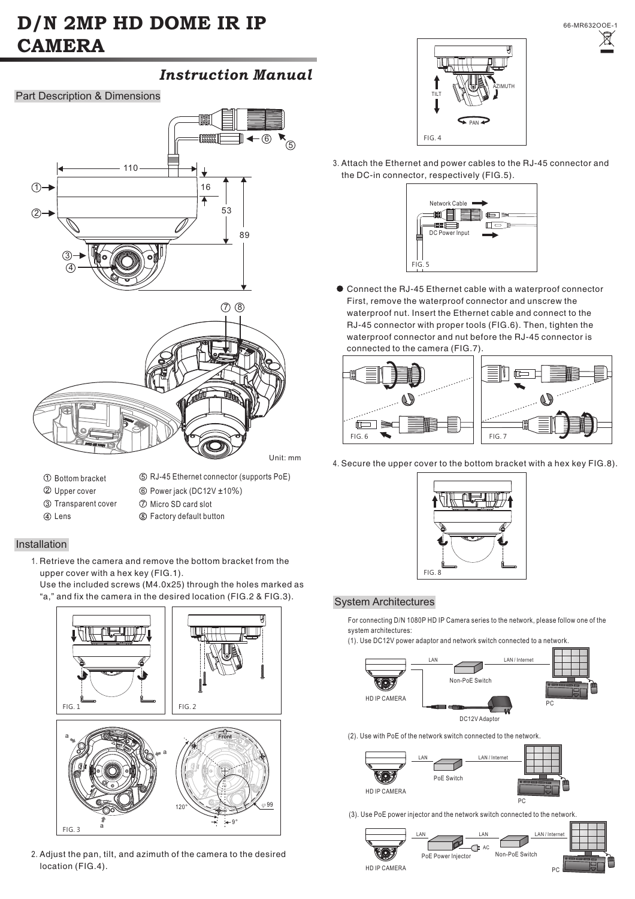# **D/N 2MP HD DOME IR IP CAMERA**

# *Instruction Manual*

Part Description & Dimensions



- Bottom bracket
- RJ-45 Ethernet connector (supports PoE)
- Upper cover Power jack (DC12V ±10 %)
	-
- Transparent cover (4) Lens
- Micro SD card slot
- Factory default button

## Installation

1. Retrieve the camera and remove the bottom bracket from the upper cover with a hex key (FIG.1).

Use the included screws (M4.0x25) through the holes marked as "a," and fix the camera in the desired location (FIG.2 & FIG.3).



2. Adjust the pan, tilt, and azimuth of the camera to the desired location (FIG.4).



3. Attach the Ethernet and power cables to the RJ-45 connector and the DC-in connector, respectively (FIG.5).



Connect the RJ-45 Ethernet cable with a waterproof connector First, remove the waterproof connector and unscrew the waterproof nut. Insert the Ethernet cable and connect to the RJ-45 connector with proper tools (FIG.6). Then, tighten the waterproof connector and nut before the RJ-45 connector is connected to the camera (FIG.7).



4. Secure the upper cover to the bottom bracket with a hex key FIG.8).



### System Architectures

For connecting D/N 1080P HD IP Camera series to the network, please follow one of the system architectures:

(1). Use DC12V power adaptor and network switch connected to a network.



(2). Use with PoE of the network switch connected to the network.



(3). Use PoE power injector and the network switch connected to the network.